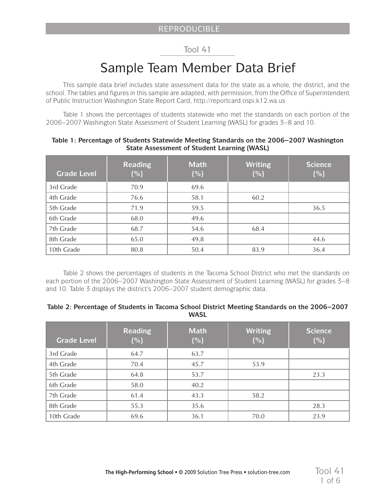## Tool 41

# Sample Team Member Data Brief

This sample data brief includes state assessment data for the state as a whole, the district, and the school. The tables and figures in this sample are adapted, with permission, from the Office of Superintendent of Public Instruction Washington State Report Card, http://reportcard.ospi.k12.wa.us

Table 1 shows the percentages of students statewide who met the standards on each portion of the 2006–2007 Washington State Assessment of Student Learning (WASL) for grades 3–8 and 10.

| <b>Grade Level</b> | <b>Reading</b><br>(% ) | <b>Math</b><br>(% ) | <b>Writing</b><br>(% ) | <b>Science</b><br>(% ) |
|--------------------|------------------------|---------------------|------------------------|------------------------|
| 3rd Grade          | 70.9                   | 69.6                |                        |                        |
| 4th Grade          | 76.6                   | 58.1                | 60.2                   |                        |
| 5th Grade          | 71.9                   | 59.5                |                        | 36.5                   |
| 6th Grade          | 68.0                   | 49.6                |                        |                        |
| 7th Grade          | 68.7                   | 54.6                | 68.4                   |                        |
| 8th Grade          | 65.0                   | 49.8                |                        | 44.6                   |
| 10th Grade         | 80.8                   | 50.4                | 83.9                   | 36.4                   |

#### **Table 1: Percentage of Students Statewide Meeting Standards on the 2006–2007 Washington State Assessment of Student Learning (WASL)**

Table 2 shows the percentages of students in the Tacoma School District who met the standards on each portion of the 2006–2007 Washington State Assessment of Student Learning (WASL) for grades 3–8 and 10. Table 3 displays the district's 2006–2007 student demographic data.

#### **Table 2: Percentage of Students in Tacoma School District Meeting Standards on the 2006–2007 WASL**

| <b>Grade Level</b> | <b>Reading</b><br>(% ) | <b>Math</b><br>(% ) | <b>Writing</b><br>(%) | <b>Science</b><br>(% ) |
|--------------------|------------------------|---------------------|-----------------------|------------------------|
| 3rd Grade          | 64.7                   | 63.7                |                       |                        |
| 4th Grade          | 70.4                   | 45.7                | 53.9                  |                        |
| 5th Grade          | 64.8                   | 53.7                |                       | 23.3                   |
| 6th Grade          | 58.0                   | 40.2                |                       |                        |
| 7th Grade          | 61.4                   | 43.3                | 58.2                  |                        |
| 8th Grade          | 55.3                   | 35.6                |                       | 28.3                   |
| 10th Grade         | 69.6                   | 36.1                | 70.0                  | 23.9                   |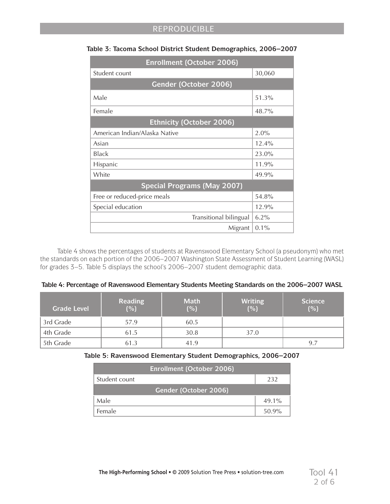| <b>Enrollment (October 2006)</b>   |          |
|------------------------------------|----------|
| Student count                      | 30,060   |
| Gender (October 2006)              |          |
| Male                               | 51.3%    |
| Female                             | 48.7%    |
| <b>Ethnicity (October 2006)</b>    |          |
| American Indian/Alaska Native      | 2.0%     |
| Asian                              | $12.4\%$ |
| <b>Black</b>                       | 23.0%    |
| Hispanic                           | 11.9%    |
| White                              | 49.9%    |
| <b>Special Programs (May 2007)</b> |          |
| Free or reduced-price meals        | 54.8%    |
| Special education                  | 12.9%    |
| Transitional bilingual             | $6.2\%$  |
| Migrant                            | $0.1\%$  |

#### **Table 3: Tacoma School District Student Demographics, 2006–2007**

Table 4 shows the percentages of students at Ravenswood Elementary School (a pseudonym) who met the standards on each portion of the 2006–2007 Washington State Assessment of Student Learning (WASL) for grades 3–5. Table 5 displays the school's 2006–2007 student demographic data.

| Table 4: Percentage of Ravenswood Elementary Students Meeting Standards on the 2006-2007 WASL |  |  |
|-----------------------------------------------------------------------------------------------|--|--|
|                                                                                               |  |  |

| <b>Grade Level</b> | <b>Reading</b><br>(%) | <b>Math</b><br>(%) | <b>Writing</b><br>(%) | <b>Science</b><br>(%) |
|--------------------|-----------------------|--------------------|-----------------------|-----------------------|
| 3rd Grade          | 57.9                  | 60.5               |                       |                       |
| 4th Grade          | 61.5                  | 30.8               | 37.0                  |                       |
| 5th Grade          | 61.3                  | 41.9               |                       | 9.7                   |

**Table 5: Ravenswood Elementary Student Demographics, 2006–2007**

| <b>Enrollment (October 2006)</b> |          |  |  |  |
|----------------------------------|----------|--|--|--|
| Student count<br>232             |          |  |  |  |
| Gender (October 2006)            |          |  |  |  |
| Male                             | $49.1\%$ |  |  |  |
| Female                           | $50.9\%$ |  |  |  |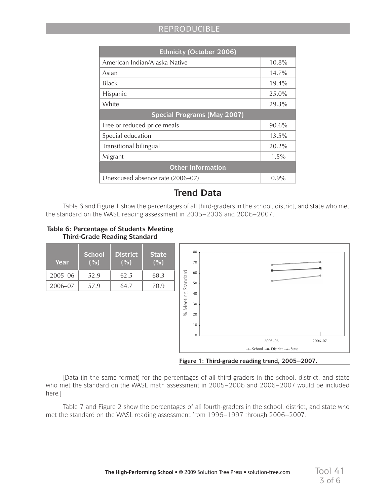## REPRODUCIBLE

| <b>Ethnicity (October 2006)</b>    |          |  |  |  |
|------------------------------------|----------|--|--|--|
| American Indian/Alaska Native      | $10.8\%$ |  |  |  |
| Asian                              | $14.7\%$ |  |  |  |
| Black                              | $19.4\%$ |  |  |  |
| Hispanic                           | 25.0%    |  |  |  |
| White                              | 29.3%    |  |  |  |
| <b>Special Programs (May 2007)</b> |          |  |  |  |
| Free or reduced-price meals        | 90.6%    |  |  |  |
| Special education                  | 13.5%    |  |  |  |
| Transitional bilingual             | $20.2\%$ |  |  |  |
| Migrant                            | $1.5\%$  |  |  |  |
| <b>Other Information</b>           |          |  |  |  |
| Unexcused absence rate (2006–07)   | 0.9%     |  |  |  |

# **Trend Data**

Table 6 and Figure 1 show the percentages of all third-graders in the school, district, and state who met the standard on the WASL reading assessment in 2005–2006 and 2006–2007.

#### **Table 6: Percentage of Students Meeting Third-Grade Reading Standard**



**Figure 1: Third-grade reading trend, 2005–2007.**

[Data (in the same format) for the percentages of all third-graders in the school, district, and state who met the standard on the WASL math assessment in 2005–2006 and 2006–2007 would be included here.]

Table 7 and Figure 2 show the percentages of all fourth-graders in the school, district, and state who met the standard on the WASL reading assessment from 1996–1997 through 2006–2007.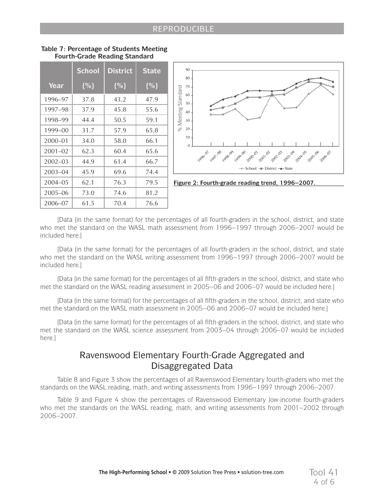|             | <b>School</b>       | <b>District</b> | <b>State</b> |                    |
|-------------|---------------------|-----------------|--------------|--------------------|
| Year        | $(\sqrt[6]{\circ})$ | (% )            | (%)          |                    |
| 1996–97     | 37.8                | 43.2            | 47.9         | % Meeting Standard |
| 1997–98     | 37.9                | 45.8            | 55.6         |                    |
| 1998-99     | 44.4                | 50.5            | 59.1         |                    |
| 1999-00     | 31.7                | 57.9            | 65.8         |                    |
| 2000-01     | 34.0                | 58.0            | 66.1         |                    |
| $2001 - 02$ | 62.3                | 60.4            | 65.6         |                    |
| $2002 - 03$ | 44.9                | 61.4            | 66.7         |                    |
| $2003 - 04$ | 45.9                | 69.6            | 74.4         |                    |
| $2004 - 05$ | 62.1                | 76.3            | 79.5         | Figu               |
| $2005 - 06$ | 73.0                | 74.6            | 81.2         |                    |
| 2006-07     | 61.5                | 70.4            | 76.6         |                    |





**Figure 2: Fourth-grade reading trend, 1996–2007.**

[Data (in the same format) for the percentages of all fourth-graders in the school, district, and state who met the standard on the WASL math assessment from 1996–1997 through 2006–2007 would be included here.]

[Data (in the same format) for the percentages of all fourth-graders in the school, district, and state who met the standard on the WASL writing assessment from 1996–1997 through 2006–2007 would be included here.]

[Data (in the same format) for the percentages of all fifth-graders in the school, district, and state who met the standard on the WASL reading assessment in 2005–06 and 2006–07 would be included here.]

[Data (in the same format) for the percentages of all fifth-graders in the school, district, and state who met the standard on the WASL math assessment in 2005–06 and 2006–07 would be included here.]

[Data (in the same format) for the percentages of all fifth-graders in the school, district, and state who met the standard on the WASL science assessment from 2003–04 through 2006–07 would be included here 1

# Ravenswood Elementary Fourth-Grade Aggregated and Disaggregated Data

Table 8 and Figure 3 show the percentages of all Ravenswood Elementary fourth-graders who met the standards on the WASL reading, math, and writing assessments from 1996–1997 through 2006–2007.

Table 9 and Figure 4 show the percentages of Ravenswood Elementary low-income fourth-graders who met the standards on the WASL reading, math, and writing assessments from 2001–2002 through 2006–2007.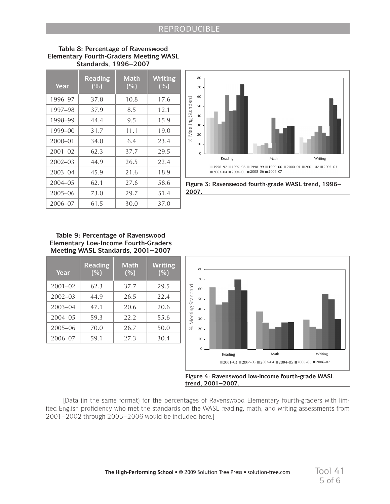| 17.6<br>12.1<br>15.9<br>19.0<br>23.4<br>29.5<br>22.4<br>18.9 | 60<br>Meeting Standard<br>50<br>40<br>30<br>20<br>Se<br>10<br>$\overline{0}$<br>$\blacksquare$ |
|--------------------------------------------------------------|------------------------------------------------------------------------------------------------|
|                                                              |                                                                                                |
|                                                              |                                                                                                |
|                                                              |                                                                                                |
|                                                              |                                                                                                |
|                                                              |                                                                                                |
|                                                              |                                                                                                |
|                                                              |                                                                                                |
|                                                              |                                                                                                |
| 58.6                                                         | Figure 3: F                                                                                    |
| 51.4                                                         | 2007.                                                                                          |
| 37.0                                                         |                                                                                                |
| <b>Writing</b><br>(%)                                        | 80                                                                                             |
| 29.5                                                         | 70<br>60                                                                                       |
|                                                              |                                                                                                |
| 22.4                                                         | 50                                                                                             |
| 20.6                                                         | 40                                                                                             |
| 55.6                                                         | 30                                                                                             |
| 50.0                                                         | Meeting Standard<br>%<br>20                                                                    |
| 30.4                                                         | 10<br>$\overline{0}$ .                                                                         |
|                                                              |                                                                                                |

#### **Table 8: Percentage of Ravenswood Elementary Fourth-Graders Meeting WASL Standards, 1996–2007**



**Figure 3: Ravenswood fourth-grade WASL trend, 1996– 2007.**

#### **Table 9: Percentage of Ravenswood Elementary Low-Income Fourth-Graders Meeting WASL Standards, 2001–2007**

| Year        | <b>Reading</b><br>(%) | <b>Math</b><br>(% ) | <b>Writing</b><br>(%) |
|-------------|-----------------------|---------------------|-----------------------|
| $2001 - 02$ | 62.3                  | 37.7                | 29.5                  |
| $2002 - 03$ | 44.9                  | 26.5                | 22.4                  |
| $2003 - 04$ | 47.1                  | 20.6                | 20.6                  |
| $2004 - 05$ | 59.3                  | 22.2                | 55.6                  |
| $2005 - 06$ | 70.0                  | 26.7                | 50.0                  |
| 2006-07     | 59.1                  | 27.3                | 30.4                  |



**Figure 4: Ravenswood low-income fourth-grade WASL trend, 2001–2007.**

[Data (in the same format) for the percentages of Ravenswood Elementary fourth-graders with limited English proficiency who met the standards on the WASL reading, math, and writing assessments from